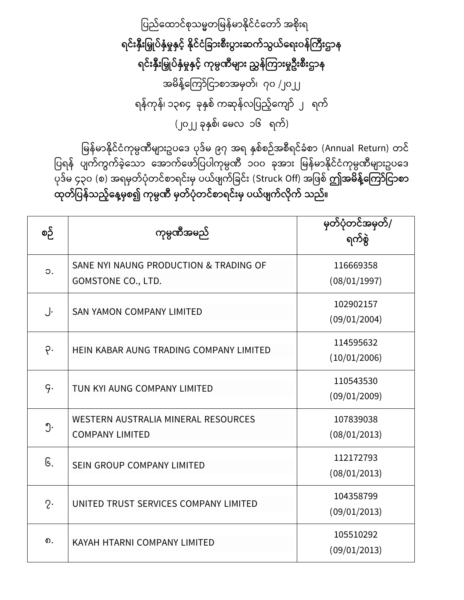ပြည်ထောင်စုသမ္မတမြန်မာနိုင်ငံတော် အစိုးရ ရင်းနှီးမြှုပ်နှံမှုနှင့် နိုင်ငံခြားစီးပွားဆက်သွယ်ရေး**၀န်ကြီးဌာ**န ရင်းနှီးမြှုပ်နှံမှုနှင့် ကုမ္ပဏီများ ညွှန်ကြားမှုဦးစီးဌာန အမိန့်ကြော်ငြာစာအမှတ်၊ ၇၀ /၂၀၂၂ ရန်ကုန်၊ ၁၃၈၄ ခုနှစ် ကဆုန်လပြည့်ကျော် ၂ ရက် (၂၀၂၂ ခုနှစ်၊ မေလ ၁၆ ရက်)

မြန်မာနိုင်ငံကုမ္ပဏီများဥပဒေ ပုဒ်မ ၉၇ အရ နှစ်စဉ်အစီရင်ခံစာ (Annual Return) တင် ပြရန် ပျက်ကွက်ခဲ့သော အောက်ဖော်ပြပါကုမ္ပဏီ ၁၀၀ ခုအား မြန်မာနိုင်ငံကုမ္ပဏီများဥပဒေ ြုေ်မ္ ၄၃၀ (စ) အရမ္ှတ်ြံုတင်စောရင်ိုးမ္ှ ြယ် ်ပခင်ိုး (Struck Off) အပ စ် **ဤအမ န့််ရကကာ်မငာစာ**  ထုတ်ပြန်သည့်နေ့မှစ၍ ကုမ္ပဏီ မှတ်ပုံတင်စာရင်းမှ ပယ်ဖျက်လိုက် သည်။

| စဉ်           | ကုမ္ပဏီအမည်                                                         | မှတ်ပုံတင်အမှတ်/<br>ရက်စွဲ |
|---------------|---------------------------------------------------------------------|----------------------------|
| $\circ$ .     | SANE NYI NAUNG PRODUCTION & TRADING OF<br><b>GOMSTONE CO., LTD.</b> | 116669358<br>(08/01/1997)  |
| J.            | <b>SAN YAMON COMPANY LIMITED</b>                                    | 102902157<br>(09/01/2004)  |
| $\varphi$ .   | HEIN KABAR AUNG TRADING COMPANY LIMITED                             | 114595632<br>(10/01/2006)  |
| $\varsigma$ . | TUN KYI AUNG COMPANY LIMITED                                        | 110543530<br>(09/01/2009)  |
| ၅.            | WESTERN AUSTRALIA MINERAL RESOURCES<br><b>COMPANY LIMITED</b>       | 107839038<br>(08/01/2013)  |
| G.            | <b>SEIN GROUP COMPANY LIMITED</b>                                   | 112172793<br>(08/01/2013)  |
| $2\cdot$      | UNITED TRUST SERVICES COMPANY LIMITED                               | 104358799<br>(09/01/2013)  |
| ၈.            | KAYAH HTARNI COMPANY LIMITED                                        | 105510292<br>(09/01/2013)  |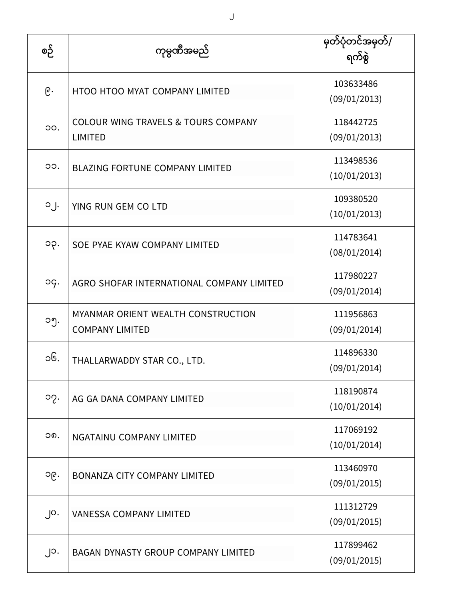| စဉ်               | ကုမ္ပဏီအမည်                                                      | မှတ်ပုံတင်အမှတ်/<br>ရက်စွဲ |
|-------------------|------------------------------------------------------------------|----------------------------|
| ၉.                | HTOO HTOO MYAT COMPANY LIMITED                                   | 103633486<br>(09/01/2013)  |
| OO.               | <b>COLOUR WING TRAVELS &amp; TOURS COMPANY</b><br><b>LIMITED</b> | 118442725<br>(09/01/2013)  |
| OO.               | <b>BLAZING FORTUNE COMPANY LIMITED</b>                           | 113498536<br>(10/01/2013)  |
| $O_1$ .           | YING RUN GEM CO LTD                                              | 109380520<br>(10/01/2013)  |
| ၁၃.               | SOE PYAE KYAW COMPANY LIMITED                                    | 114783641<br>(08/01/2014)  |
| og.               | AGRO SHOFAR INTERNATIONAL COMPANY LIMITED                        | 117980227<br>(09/01/2014)  |
| ၁၅.               | MYANMAR ORIENT WEALTH CONSTRUCTION<br><b>COMPANY LIMITED</b>     | 111956863<br>(09/01/2014)  |
| ၁၆.               | THALLARWADDY STAR CO., LTD.                                      | 114896330<br>(09/01/2014)  |
| ၁၇.               | AG GA DANA COMPANY LIMITED                                       | 118190874<br>(10/01/2014)  |
| ၁၈.               | NGATAINU COMPANY LIMITED                                         | 117069192<br>(10/01/2014)  |
| ၁၉.               | <b>BONANZA CITY COMPANY LIMITED</b>                              | 113460970<br>(09/01/2015)  |
| $\cdot$ $\circ$ . | <b>VANESSA COMPANY LIMITED</b>                                   | 111312729<br>(09/01/2015)  |
| ၂၁.               | BAGAN DYNASTY GROUP COMPANY LIMITED                              | 117899462<br>(09/01/2015)  |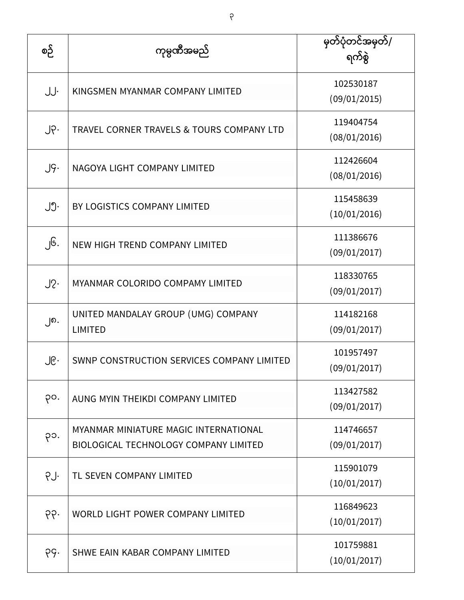| စဉ်             | ကုမ္ပဏီအမည်                                                                           | မှတ်ပုံတင်အမှတ်/<br>ရက်စွဲ |
|-----------------|---------------------------------------------------------------------------------------|----------------------------|
| JJ.             | KINGSMEN MYANMAR COMPANY LIMITED                                                      | 102530187<br>(09/01/2015)  |
| $J \circ \cdot$ | TRAVEL CORNER TRAVELS & TOURS COMPANY LTD                                             | 119404754<br>(08/01/2016)  |
| $J\varsigma$ .  | NAGOYA LIGHT COMPANY LIMITED                                                          | 112426604<br>(08/01/2016)  |
| ၂၅.             | BY LOGISTICS COMPANY LIMITED                                                          | 115458639<br>(10/01/2016)  |
| ၂၆.             | NEW HIGH TREND COMPANY LIMITED                                                        | 111386676<br>(09/01/2017)  |
| $J2$ .          | MYANMAR COLORIDO COMPAMY LIMITED                                                      | 118330765<br>(09/01/2017)  |
| ၂၈.             | UNITED MANDALAY GROUP (UMG) COMPANY<br><b>LIMITED</b>                                 | 114182168<br>(09/01/2017)  |
| ၂၉․             | SWNP CONSTRUCTION SERVICES COMPANY LIMITED                                            | 101957497<br>(09/01/2017)  |
| po.             | AUNG MYIN THEIKDI COMPANY LIMITED                                                     | 113427582<br>(09/01/2017)  |
| ၃၁.             | MYANMAR MINIATURE MAGIC INTERNATIONAL<br><b>BIOLOGICAL TECHNOLOGY COMPANY LIMITED</b> | 114746657<br>(09/01/2017)  |
| PJ.             | TL SEVEN COMPANY LIMITED                                                              | 115901079<br>(10/01/2017)  |
| 99.             | <b>WORLD LIGHT POWER COMPANY LIMITED</b>                                              | 116849623<br>(10/01/2017)  |
| pg.             | SHWE EAIN KABAR COMPANY LIMITED                                                       | 101759881<br>(10/01/2017)  |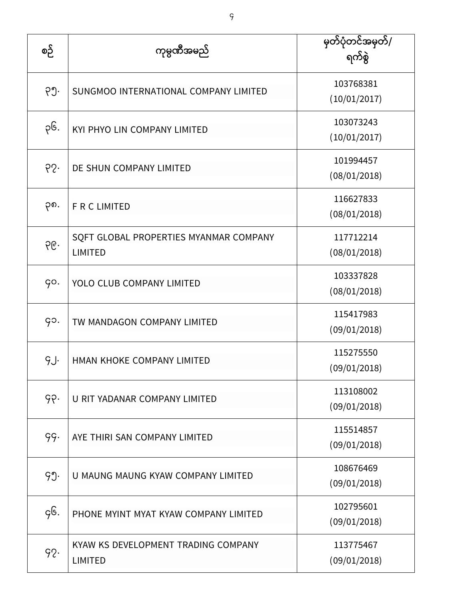| စဉ်  | ကုမ္ပဏီအမည်                                              | မှတ်ပုံတင်အမှတ်/<br>ရက်စွဲ |
|------|----------------------------------------------------------|----------------------------|
| ၃၅.  | SUNGMOO INTERNATIONAL COMPANY LIMITED                    | 103768381<br>(10/01/2017)  |
| ၃၆.  | KYI PHYO LIN COMPANY LIMITED                             | 103073243<br>(10/01/2017)  |
| 65.  | DE SHUN COMPANY LIMITED                                  | 101994457<br>(08/01/2018)  |
| po.  | <b>F R C LIMITED</b>                                     | 116627833<br>(08/01/2018)  |
| 66.  | SQFT GLOBAL PROPERTIES MYANMAR COMPANY<br><b>LIMITED</b> | 117712214<br>(08/01/2018)  |
| go.  | YOLO CLUB COMPANY LIMITED                                | 103337828<br>(08/01/2018)  |
| go.  | TW MANDAGON COMPANY LIMITED                              | 115417983<br>(09/01/2018)  |
| g.j. | HMAN KHOKE COMPANY LIMITED                               | 115275550<br>(09/01/2018)  |
| ၄၃.  | U RIT YADANAR COMPANY LIMITED                            | 113108002<br>(09/01/2018)  |
| 99.  | AYE THIRI SAN COMPANY LIMITED                            | 115514857<br>(09/01/2018)  |
| 99.  | U MAUNG MAUNG KYAW COMPANY LIMITED                       | 108676469<br>(09/01/2018)  |
| gG.  | PHONE MYINT MYAT KYAW COMPANY LIMITED                    | 102795601<br>(09/01/2018)  |
| 92.  | KYAW KS DEVELOPMENT TRADING COMPANY<br><b>LIMITED</b>    | 113775467<br>(09/01/2018)  |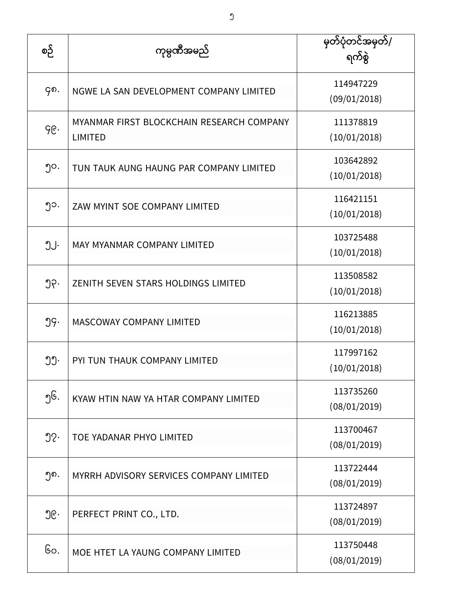| စဉ်              | ကုမ္ပဏီအမည်                                                 | မှတ်ပုံတင်အမှတ်/<br>ရက်စွဲ |
|------------------|-------------------------------------------------------------|----------------------------|
| ၄၈.              | NGWE LA SAN DEVELOPMENT COMPANY LIMITED                     | 114947229<br>(09/01/2018)  |
| ၄၉.              | MYANMAR FIRST BLOCKCHAIN RESEARCH COMPANY<br><b>LIMITED</b> | 111378819<br>(10/01/2018)  |
| ၅၀.              | TUN TAUK AUNG HAUNG PAR COMPANY LIMITED                     | 103642892<br>(10/01/2018)  |
| ၅၁.              | ZAW MYINT SOE COMPANY LIMITED                               | 116421151<br>(10/01/2018)  |
| ၅၂.              | MAY MYANMAR COMPANY LIMITED                                 | 103725488<br>(10/01/2018)  |
| ၅၃.              | ZENITH SEVEN STARS HOLDINGS LIMITED                         | 113508582<br>(10/01/2018)  |
| ၅၄.              | <b>MASCOWAY COMPANY LIMITED</b>                             | 116213885<br>(10/01/2018)  |
| ၅၅.              | PYI TUN THAUK COMPANY LIMITED                               | 117997162<br>(10/01/2018)  |
| ၅၆.              | KYAW HTIN NAW YA HTAR COMPANY LIMITED                       | 113735260<br>(08/01/2019)  |
| $\mathfrak{D}$ . | TOE YADANAR PHYO LIMITED                                    | 113700467<br>(08/01/2019)  |
| ၅၈.              | MYRRH ADVISORY SERVICES COMPANY LIMITED                     | 113722444<br>(08/01/2019)  |
| ၅၉.              | PERFECT PRINT CO., LTD.                                     | 113724897<br>(08/01/2019)  |
| Go.              | MOE HTET LA YAUNG COMPANY LIMITED                           | 113750448<br>(08/01/2019)  |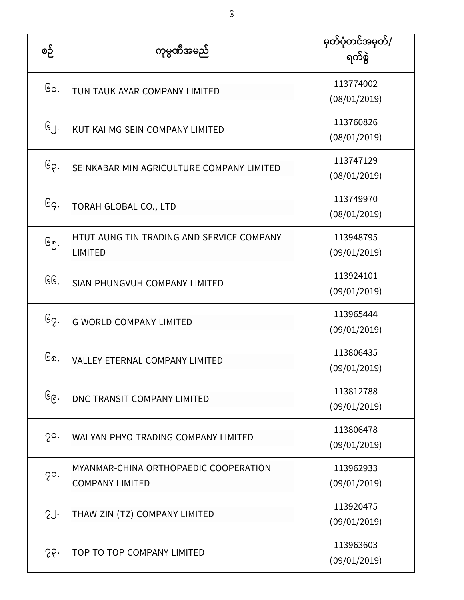| စဉ်             | ကုမ္ပဏီအမည်                                                     | မှတ်ပုံတင်အမှတ်/<br>ရက်စွဲ |
|-----------------|-----------------------------------------------------------------|----------------------------|
| ၆၁.             | TUN TAUK AYAR COMPANY LIMITED                                   | 113774002<br>(08/01/2019)  |
| ၆၂.             | KUT KAI MG SEIN COMPANY LIMITED                                 | 113760826<br>(08/01/2019)  |
| ၆၃.             | SEINKABAR MIN AGRICULTURE COMPANY LIMITED                       | 113747129<br>(08/01/2019)  |
| Gg.             | TORAH GLOBAL CO., LTD                                           | 113749970<br>(08/01/2019)  |
| ၆၅.             | HTUT AUNG TIN TRADING AND SERVICE COMPANY<br><b>LIMITED</b>     | 113948795<br>(09/01/2019)  |
| GG.             | SIAN PHUNGVUH COMPANY LIMITED                                   | 113924101<br>(09/01/2019)  |
| ၆၇.             | <b>G WORLD COMPANY LIMITED</b>                                  | 113965444<br>(09/01/2019)  |
| ၆၈.             | <b>VALLEY ETERNAL COMPANY LIMITED</b>                           | 113806435<br>(09/01/2019)  |
| ၆၉.             | DNC TRANSIT COMPANY LIMITED                                     | 113812788<br>(09/01/2019)  |
| $2^{\circ}$ .   | WAI YAN PHYO TRADING COMPANY LIMITED                            | 113806478<br>(09/01/2019)  |
| $2^{\circ}$ .   | MYANMAR-CHINA ORTHOPAEDIC COOPERATION<br><b>COMPANY LIMITED</b> | 113962933<br>(09/01/2019)  |
| 2J <sub>1</sub> | THAW ZIN (TZ) COMPANY LIMITED                                   | 113920475<br>(09/01/2019)  |
| 26              | TOP TO TOP COMPANY LIMITED                                      | 113963603<br>(09/01/2019)  |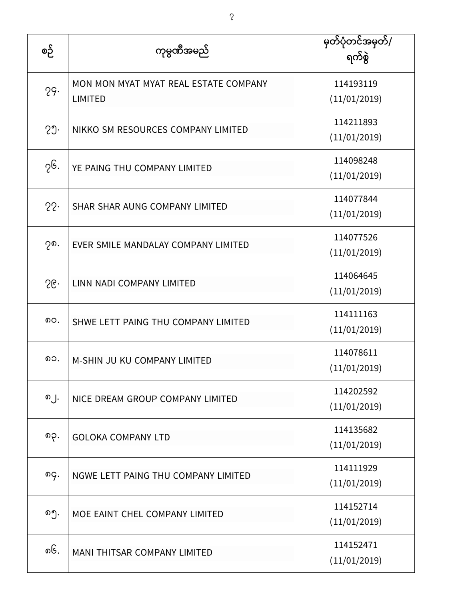| စဉ် | ကုမ္ပဏီအမည်                                             | မှတ်ပုံတင်အမှတ်/<br>ရက်စွဲ |
|-----|---------------------------------------------------------|----------------------------|
| 29. | MON MON MYAT MYAT REAL ESTATE COMPANY<br><b>LIMITED</b> | 114193119<br>(11/01/2019)  |
| 29. | NIKKO SM RESOURCES COMPANY LIMITED                      | 114211893<br>(11/01/2019)  |
| ၇၆. | YE PAING THU COMPANY LIMITED                            | 114098248<br>(11/01/2019)  |
| 22. | SHAR SHAR AUNG COMPANY LIMITED                          | 114077844<br>(11/01/2019)  |
| ၇၈. | EVER SMILE MANDALAY COMPANY LIMITED                     | 114077526<br>(11/01/2019)  |
| 56. | LINN NADI COMPANY LIMITED                               | 114064645<br>(11/01/2019)  |
| ၈၀. | SHWE LETT PAING THU COMPANY LIMITED                     | 114111163<br>(11/01/2019)  |
| ၈၁. | M-SHIN JU KU COMPANY LIMITED                            | 114078611<br>(11/01/2019)  |
| ၈၂. | NICE DREAM GROUP COMPANY LIMITED                        | 114202592<br>(11/01/2019)  |
| ၈၃. | <b>GOLOKA COMPANY LTD</b>                               | 114135682<br>(11/01/2019)  |
| ၈၄. | NGWE LETT PAING THU COMPANY LIMITED                     | 114111929<br>(11/01/2019)  |
| ၈၅. | MOE EAINT CHEL COMPANY LIMITED                          | 114152714<br>(11/01/2019)  |
| ၈၆. | MANI THITSAR COMPANY LIMITED                            | 114152471<br>(11/01/2019)  |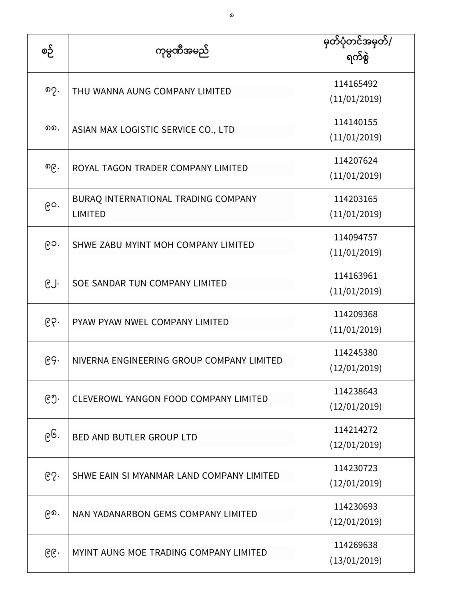| စဉ် | ကုမ္ပဏီအမည်                                           | မြတ်ပုံတင်အမှတ်/<br>ရက်စွဲ |
|-----|-------------------------------------------------------|----------------------------|
| ၈၇. | THU WANNA AUNG COMPANY LIMITED                        | 114165492<br>(11/01/2019)  |
| ດດ. | ASIAN MAX LOGISTIC SERVICE CO., LTD                   | 114140155<br>(11/01/2019)  |
| ၈၉․ | ROYAL TAGON TRADER COMPANY LIMITED                    | 114207624<br>(11/01/2019)  |
| ၉၀. | BURAQ INTERNATIONAL TRADING COMPANY<br><b>LIMITED</b> | 114203165<br>(11/01/2019)  |
| ၉၁. | SHWE ZABU MYINT MOH COMPANY LIMITED                   | 114094757<br>(11/01/2019)  |
| ၉၂. | SOE SANDAR TUN COMPANY LIMITED                        | 114163961<br>(11/01/2019)  |
| ၉၃. | PYAW PYAW NWEL COMPANY LIMITED                        | 114209368<br>(11/01/2019)  |
| ၉၄. | NIVERNA ENGINEERING GROUP COMPANY LIMITED             | 114245380<br>(12/01/2019)  |
| ၉၅. | <b>CLEVEROWL YANGON FOOD COMPANY LIMITED</b>          | 114238643<br>(12/01/2019)  |
| ၉၆. | <b>BED AND BUTLER GROUP LTD</b>                       | 114214272<br>(12/01/2019)  |
| ၉၇. | SHWE EAIN SI MYANMAR LAND COMPANY LIMITED             | 114230723<br>(12/01/2019)  |
| ၉၈. | NAN YADANARBON GEMS COMPANY LIMITED                   | 114230693<br>(12/01/2019)  |
| ၉၉. | MYINT AUNG MOE TRADING COMPANY LIMITED                | 114269638<br>(13/01/2019)  |